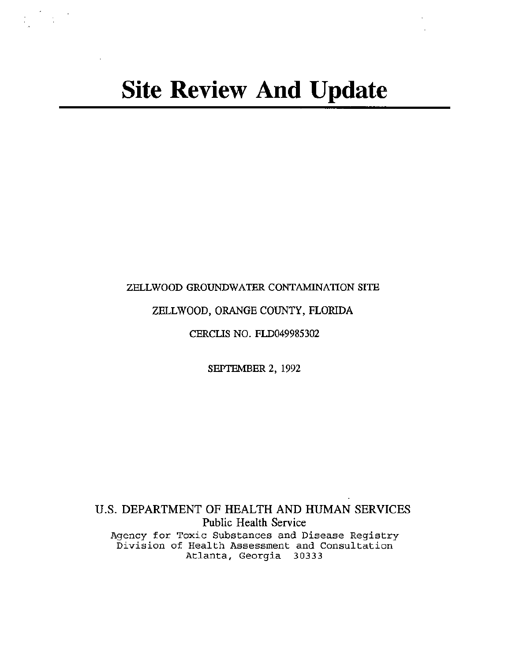## ZELLWOOD GROUNDWATER CONTAMINATION SITE

# ZELLWOOD, ORANGE COUNTY, FLORIDA

CERCLIS NO. FLD049985302

SEPTEMBER 2, 1992

U.S. DEPARTMENT OF HEALTH AND HUMAN SERVICES Public Health Service Agency for Toxic Substances and Disease Registry Division of Health Assessment and Consultation Atlanta, Georgia 30333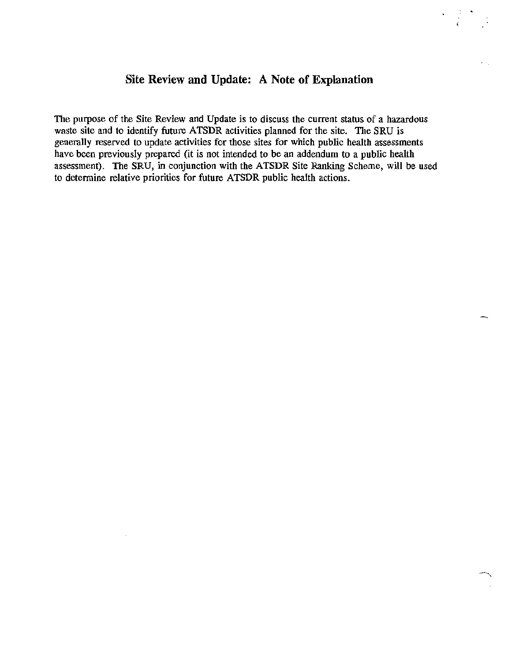# **Site Review and Update: A Note of Explanation**

' )<br>C

 $\mathbf{r}$ 

.,

The purpose of the Site Review and Update is to discuss the current status of a hazardous waste site and to identify future ATSDR activities planned for the site. The SRU is generally reserved to update activities for those sites for which public health assessments have been previously prepared (it is not intended to be an addendum to a public health assessment). The SRU, in conjunction with the ATSDR Site Ranking Scheme, will be used to determine relative priorities for future ATSDR public health actions.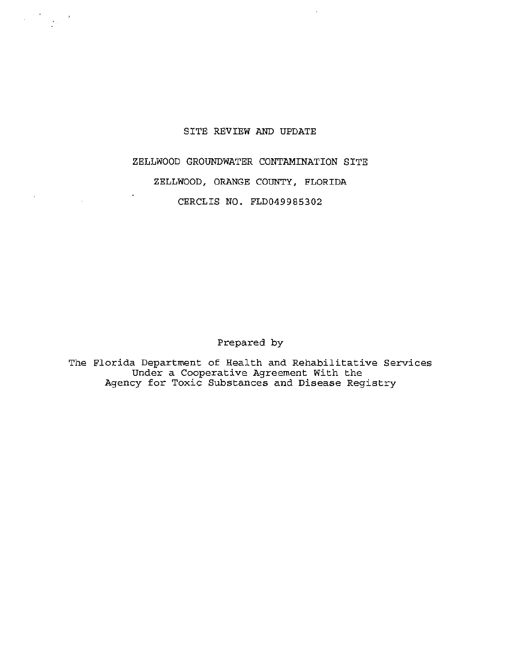## SITE REVIEW AND UPDATE

ZELLWOOD GROUNDWATER CONTAMINATION SITE

ZELLWOOD, ORANGE COUNTY, FLORIDA

CERCLIS NO. FLD049985302

ä,

Prepared by

The Florida Department of Health and Rehabilitative Services Under a Cooperative Agreement With the Agency for Toxic Substances and Disease Registry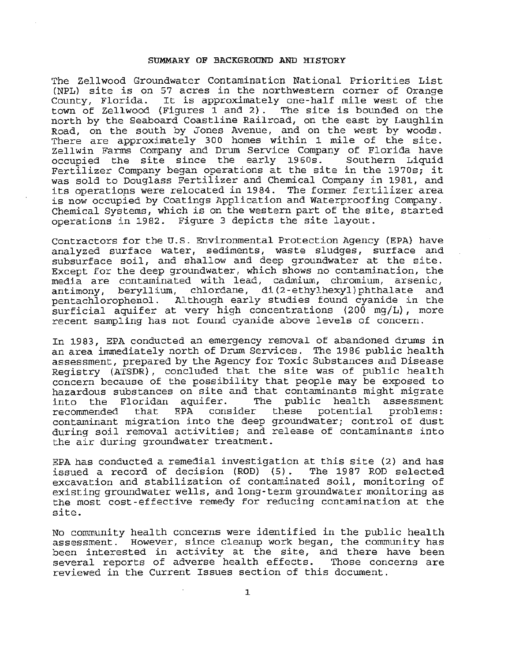## SUMMARY OF BACKGROUND AND HISTORY

The Zellwood Groundwater Contamination National Priorities List (NPL) site is on 57 acres in the northwestern corner of Orange County, Florida. It is approximately one-half mile west of the town of Zellwood (Figures 1 and 2) . The site is bounded on the north by the Seaboard Coastline Railroad, on the east by Laughlin Road, on the south by Jones Avenue, and on the west by woods. There are approximately 300 homes within 1 mile of the site. Zellwin Farms Company and Drum Service Company of Florida have<br>occupied the site since the early 1960s. Southern Liquid occupied the site since the early  $1960s$ . Fertilizer Company began operations at the site in the 1970s; it was sold to Douglass Fertilizer and Chemical Company in 1981, and its operations were relocated in 1984. The former fertilizer area is now occupied by Coatings Application and Waterproofing Company. Chemical Systems, which is on the western part of the site, started operations in 1982. Figure 3 depicts the site layout.

Contractors for the U.s. Environmental Protection Agency (EPA) have analyzed surface water, sediments, waste sludges, surface and subsurface soil, and shallow and deep groundwater at the site. Except for the deep groundwater, which shows no contamination, the media are contaminated with lead, cadmium, chromium, arsenic, antimony, beryllium, chlordane, di(2-ethylhexyl)phthalate and pentachlorophenol. Although early studies found cyanide in the surficial aquifer at very high concentrations (200 mg/L) , more recent sampling has not found cyanide above levels of concern.

In 1983, EPA conducted an emergency removal of abandoned drums in an area immediately north of Drum Services. The 1986 public health assessment, prepared by the Agency for Toxic Substances and Disease Registry (ATSDR), concluded that the site was of public health concern because of the possibility that people may be exposed to hazardous substances on site and that contaminants might migrate<br>into the Floridan aquifer. The public health assessment aquifer. The public health assessment<br>EPA consider these potential problems: recommended that EPA consider these potential contaminant migration into the deep groundwater; control of dust during soil removal activities; and release of contaminants into the air during groundwater treatment.

EPA has conducted a remedial investigation at this site (2) and has issued a record of decision (ROD) (5). The 1987 ROD selected issued a record of decision  $(ROD)$   $(5)$ . excavation and stabilization of contaminated soil, monitoring of existing groundwater wells, and long-term groundwater monitoring as the most cost-effective remedy for reducing contamination at the site.

No community health concerns were identified in the public health assessment. However, since cleanup work began, the community has been interested in activity at the site, and there have been several reports of adverse health effects. Those concerns are reviewed in the Current Issues section of this document.

1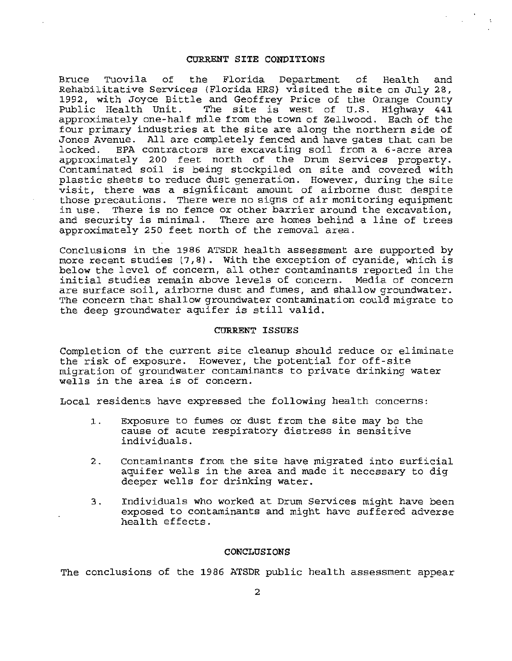#### CURRENT SITE CONDITIONS

Bruce Tuovila of the Florida Department of Health and Rehabilitative Services (Florida HRS} visited the site on July 28, 1992, with Joyce Bittle and Geoffrey Price of the Orange County Public Health Unit. The site is west of U.S. Highway 441 approximately one-half mile from the town of Zellwood. Each of the four primary industries at the site are along the northern side of Jones Avenue. All are completely fenced and have gates that can be<br>locked. BPA contractors are excavating soil from a 6-acre area BPA contractors are excavating soil from a 6-acre area approximately 200 feet north of the Drum Services property. Contaminated soil is being stockpiled on site and covered with plastic sheets to reduce dust generation. However, during the site visit, there was a significant amount of airborne dust despite those precautions. There were no signs of air monitoring equipment in use. There is no fence or other barrier around the excavation, and security is minimal. There are homes behind a line of trees approximately 250 feet north of the removal area .

Conclusions in the 1986 ATSDR health assessment are supported by more recent studies  $(7, 8)$ . With the exception of cyanide, which is below the level of concern, all other contaminants reported in the initial studies remain above levels of concern . Media of concern are surface soil, airborne dust and fumes, and shallow groundwater. The concern that shallow groundwater contamination could migrate to the deep groundwater aquifer is still valid.

## CURRENT ISSUES

Completion of the current site cleanup should reduce or eliminate the risk of exposure. However, the potential for off-site migration of groundwater contaminants to private drinking water wells in the area is of concern.

Local residents have expressed the following health concerns:

- 1. Exposure to fumes or dust from the site may be the cause of acute respiratory distress in sensitive individuals.
- 2. Contaminants from the site have migrated into surficial aquifer wells in the area and made it necessary to dig deeper wells for drinking water.
- 3. Individuals who worked at Drum Services might have been exposed to contaminants and might have suffered adverse health effects.

## CONCLUSIONS

The conclusions of the 1986 ATSDR public health assessment appear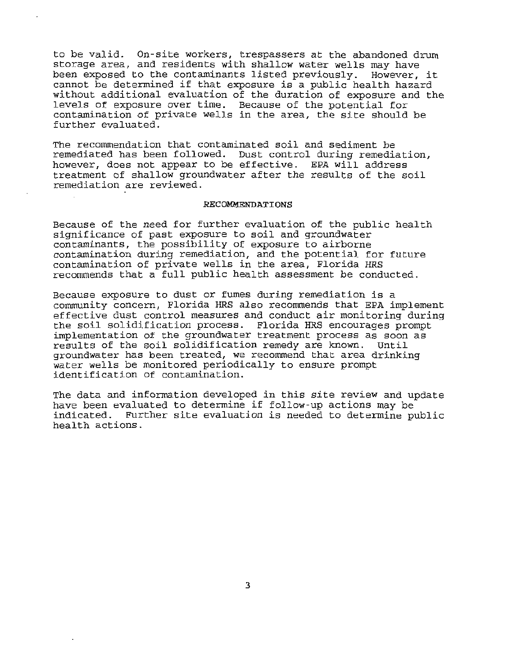to be valid. On-site workers, trespassers at the abandoned drum storage area, and residents with shallow water wells may have been exposed to the contaminants listed previously. However, it cannot be determined if that exposure is a public health hazard without additional evaluation of the duration of exposure and the levels of exposure over time. Because of the potential for contamination of private wells in the area, the site should be further evaluated.

The recommendation that contaminated soil and sediment be remediated has been followed. Dust control during remediation, however, does not appear to be effective. EPA will address treatment of shallow groundwater after the results of the soil remediation are reviewed .

### **RECOMMENDATIONS**

Because of the need for further evaluation of the public health significance of past exposure to soil and groundwater contaminants, the possibility of exposure to airborne contamination during remediation, and the potential for future contamination of private wells in the area, Florida HRS recommends that a full public health assessment be conducted.

Because exposure to dust or fumes during remediation is a community concern, Florida HRS also recommends that EPA implement effective dust control measures and conduct air monitoring during the soil solidification process. Florida HRS encourages prompt implementation of the groundwater treatment process as soon as results of the soil solidification remedy are known. Until groundwater has been treated, we recommend that area drinking water wells be monitored periodically to ensure prompt identification of contamination.

The data and information developed in this site review and update have been evaluated to determine if follow-up actions may be indicated. Further site evaluation is needed to determine public health actions.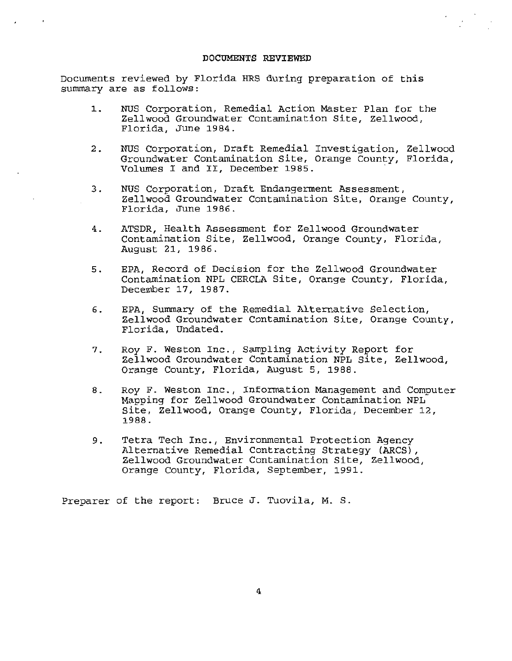#### **DOCUMENTS REVI EWED**

Documents reviewed by Florida HRS during preparation of this summary are as follows :

- 1. NUS Corporation, Remedial Action Master Plan for the Zellwood Groundwater Contamination Site, Zellwood, Florida, June 1984.
- 2. NUS Corporation, Draft Remedial Investigation, Zellwood Groundwater Contamination Site, Orange County, Florida, Volumes I and II, December 1985.
- 3. NUS Corporation, Draft Endangerment Assessment, Zellwood Groundwater Contamination Site, Orange County, Florida, June 1986.
- 4. ATSDR, Health Assessment for Zellwood Groundwater Contamination Site, Zellwood, Orange County, Florida, August 21, 1986.
- 5. EPA, Record of Decision for the Zellwood Groundwater Contamination NPL CERCLA Site, Orange County, Florida, December 17, 1987.
- 6 . EPA, Summary of the Remedial Alternative Selection, Zellwood Groundwater Contamination Site, Orange County, Florida, Undated .
- 7. Roy F. Weston Inc., Sampling Activity Report for Zellwood Groundwater Contamination NPL Site, Zellwood, Orange County, Florida, August 5, 1988.
- 8 . Roy F. Weston Inc., Information Management and Computer Mapping for Zellwood Groundwater Contamination NPL Site, Zellwood, Orange County, Florida, December 12, 1988.
- 9. Tetra Tech Inc., Environmental Protection Agency Alternative Remedial Contracting Strategy (ARCS), Zellwood Groundwater Contamination Site, Zellwood, Orange County, Florida, September, 1991.

Preparer of the report: Bruce J. Tuovila, M. S.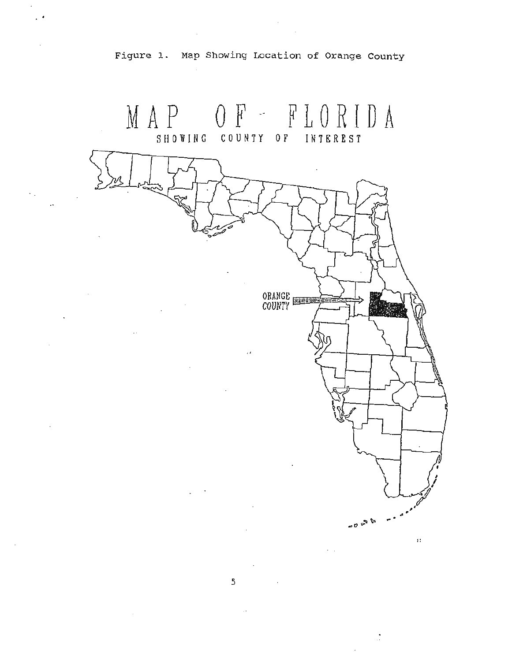

Figure 1. Map Showing Location of Orange County

5

ø

 $\ddot{\phantom{0}}$ 

 $10^{10}$   $\approx 0$ 

 $\mathcal{Z}$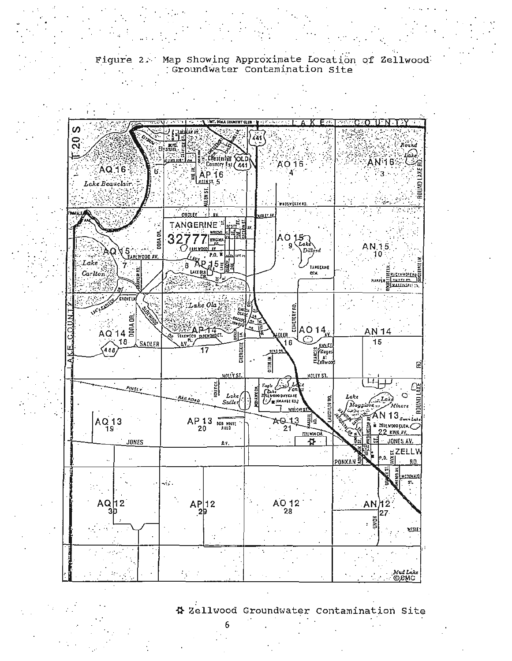



☆ Zellwood Groundwater Contamination Site